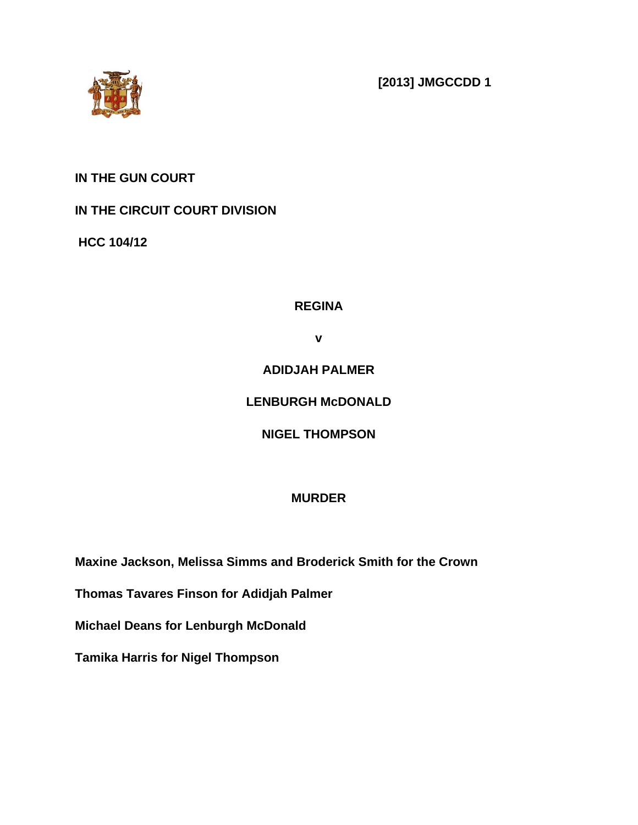

**[2013] JMGCCDD 1**

## **IN THE GUN COURT**

## **IN THE CIRCUIT COURT DIVISION**

**HCC 104/12**

## **REGINA**

**v**

## **ADIDJAH PALMER**

## **LENBURGH McDONALD**

## **NIGEL THOMPSON**

## **MURDER**

**Maxine Jackson, Melissa Simms and Broderick Smith for the Crown**

**Thomas Tavares Finson for Adidjah Palmer**

**Michael Deans for Lenburgh McDonald**

**Tamika Harris for Nigel Thompson**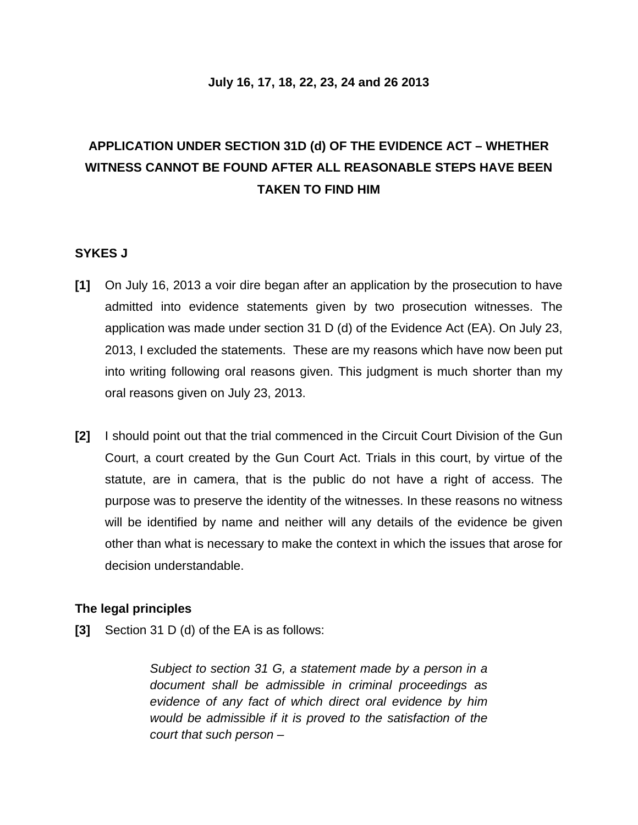### **July 16, 17, 18, 22, 23, 24 and 26 2013**

# **APPLICATION UNDER SECTION 31D (d) OF THE EVIDENCE ACT – WHETHER WITNESS CANNOT BE FOUND AFTER ALL REASONABLE STEPS HAVE BEEN TAKEN TO FIND HIM**

### **SYKES J**

- **[1]** On July 16, 2013 a voir dire began after an application by the prosecution to have admitted into evidence statements given by two prosecution witnesses. The application was made under section 31 D (d) of the Evidence Act (EA). On July 23, 2013, I excluded the statements. These are my reasons which have now been put into writing following oral reasons given. This judgment is much shorter than my oral reasons given on July 23, 2013.
- **[2]** I should point out that the trial commenced in the Circuit Court Division of the Gun Court, a court created by the Gun Court Act. Trials in this court, by virtue of the statute, are in camera, that is the public do not have a right of access. The purpose was to preserve the identity of the witnesses. In these reasons no witness will be identified by name and neither will any details of the evidence be given other than what is necessary to make the context in which the issues that arose for decision understandable.

### **The legal principles**

**[3]** Section 31 D (d) of the EA is as follows:

*Subject to section 31 G, a statement made by a person in a document shall be admissible in criminal proceedings as evidence of any fact of which direct oral evidence by him would be admissible if it is proved to the satisfaction of the court that such person –*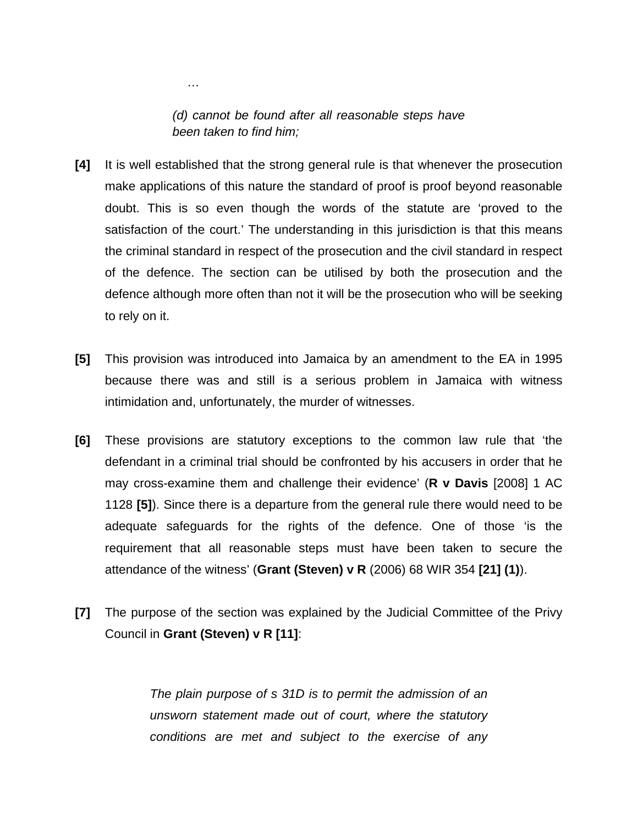*(d) cannot be found after all reasonable steps have been taken to find him;*

*…*

- **[4]** It is well established that the strong general rule is that whenever the prosecution make applications of this nature the standard of proof is proof beyond reasonable doubt. This is so even though the words of the statute are 'proved to the satisfaction of the court.' The understanding in this jurisdiction is that this means the criminal standard in respect of the prosecution and the civil standard in respect of the defence. The section can be utilised by both the prosecution and the defence although more often than not it will be the prosecution who will be seeking to rely on it.
- **[5]** This provision was introduced into Jamaica by an amendment to the EA in 1995 because there was and still is a serious problem in Jamaica with witness intimidation and, unfortunately, the murder of witnesses.
- **[6]** These provisions are statutory exceptions to the common law rule that 'the defendant in a criminal trial should be confronted by his accusers in order that he may cross-examine them and challenge their evidence' (**R v Davis** [2008] 1 AC 1128 **[5]**). Since there is a departure from the general rule there would need to be adequate safeguards for the rights of the defence. One of those 'is the requirement that all reasonable steps must have been taken to secure the attendance of the witness' (**Grant (Steven) v R** (2006) 68 WIR 354 **[21] (1)**).
- **[7]** The purpose of the section was explained by the Judicial Committee of the Privy Council in **Grant (Steven) v R [11]**:

*The plain purpose of s 31D is to permit the admission of an unsworn statement made out of court, where the statutory conditions are met and subject to the exercise of any*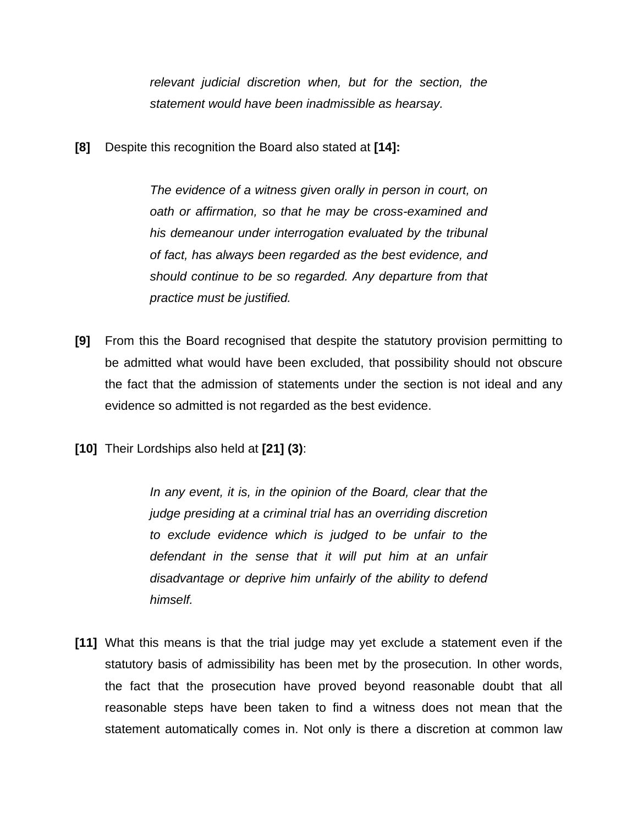*relevant judicial discretion when, but for the section, the statement would have been inadmissible as hearsay.*

**[8]** Despite this recognition the Board also stated at **[14]:**

*The evidence of a witness given orally in person in court, on oath or affirmation, so that he may be cross-examined and his demeanour under interrogation evaluated by the tribunal of fact, has always been regarded as the best evidence, and should continue to be so regarded. Any departure from that practice must be justified.*

- **[9]** From this the Board recognised that despite the statutory provision permitting to be admitted what would have been excluded, that possibility should not obscure the fact that the admission of statements under the section is not ideal and any evidence so admitted is not regarded as the best evidence.
- **[10]** Their Lordships also held at **[21] (3)**:

*In any event, it is, in the opinion of the Board, clear that the judge presiding at a criminal trial has an overriding discretion to exclude evidence which is judged to be unfair to the defendant in the sense that it will put him at an unfair disadvantage or deprive him unfairly of the ability to defend himself.*

**[11]** What this means is that the trial judge may yet exclude a statement even if the statutory basis of admissibility has been met by the prosecution. In other words, the fact that the prosecution have proved beyond reasonable doubt that all reasonable steps have been taken to find a witness does not mean that the statement automatically comes in. Not only is there a discretion at common law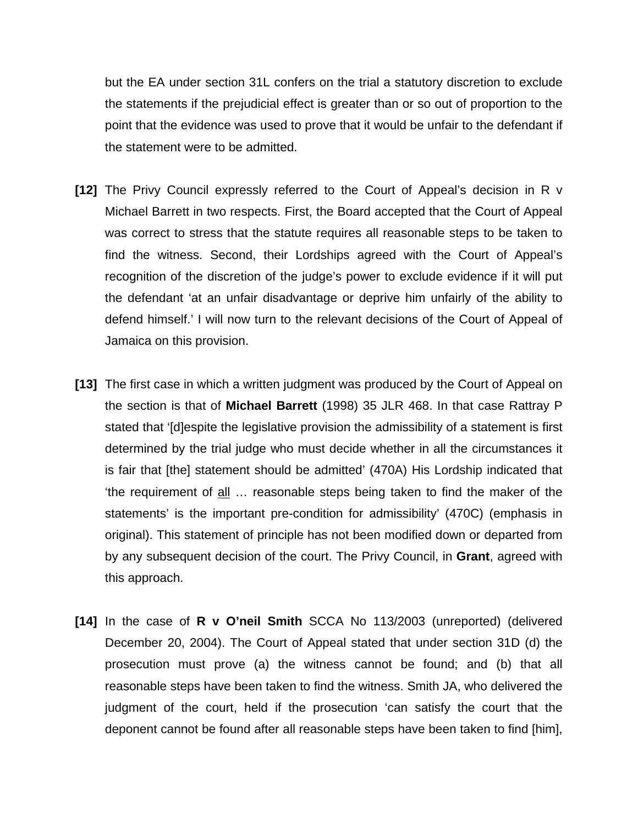but the EA under section 31L confers on the trial a statutory discretion to exclude the statements if the prejudicial effect is greater than or so out of proportion to the point that the evidence was used to prove that it would be unfair to the defendant if the statement were to be admitted.

- **[12]** The Privy Council expressly referred to the Court of Appeal's decision in R v Michael Barrett in two respects. First, the Board accepted that the Court of Appeal was correct to stress that the statute requires all reasonable steps to be taken to find the witness. Second, their Lordships agreed with the Court of Appeal's recognition of the discretion of the judge's power to exclude evidence if it will put the defendant 'at an unfair disadvantage or deprive him unfairly of the ability to defend himself.' I will now turn to the relevant decisions of the Court of Appeal of Jamaica on this provision.
- **[13]** The first case in which a written judgment was produced by the Court of Appeal on the section is that of **Michael Barrett** (1998) 35 JLR 468. In that case Rattray P stated that '[d]espite the legislative provision the admissibility of a statement is first determined by the trial judge who must decide whether in all the circumstances it is fair that [the] statement should be admitted' (470A) His Lordship indicated that 'the requirement of all … reasonable steps being taken to find the maker of the statements' is the important pre-condition for admissibility' (470C) (emphasis in original). This statement of principle has not been modified down or departed from by any subsequent decision of the court. The Privy Council, in **Grant**, agreed with this approach.
- **[14]** In the case of **R v O'neil Smith** SCCA No 113/2003 (unreported) (delivered December 20, 2004). The Court of Appeal stated that under section 31D (d) the prosecution must prove (a) the witness cannot be found; and (b) that all reasonable steps have been taken to find the witness. Smith JA, who delivered the judgment of the court, held if the prosecution 'can satisfy the court that the deponent cannot be found after all reasonable steps have been taken to find [him],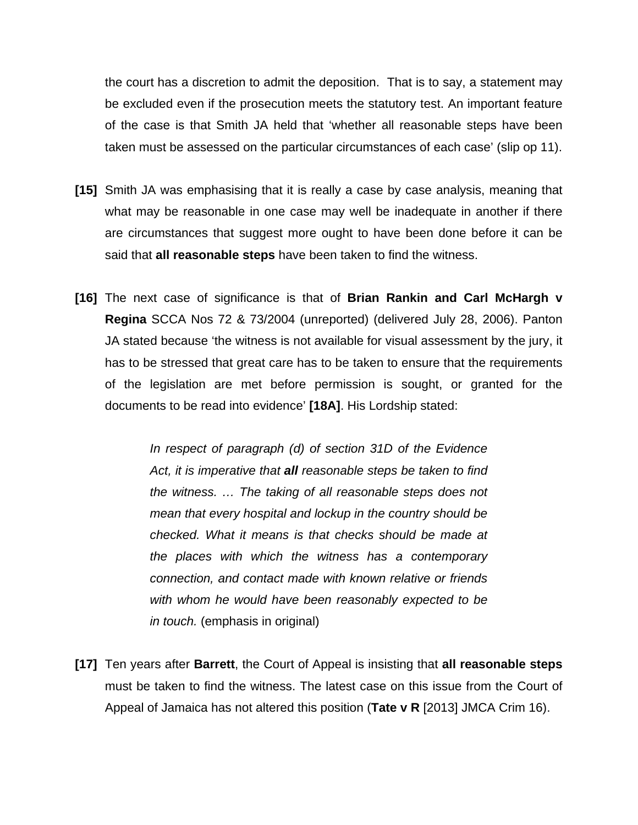the court has a discretion to admit the deposition. That is to say, a statement may be excluded even if the prosecution meets the statutory test. An important feature of the case is that Smith JA held that 'whether all reasonable steps have been taken must be assessed on the particular circumstances of each case' (slip op 11).

- **[15]** Smith JA was emphasising that it is really a case by case analysis, meaning that what may be reasonable in one case may well be inadequate in another if there are circumstances that suggest more ought to have been done before it can be said that **all reasonable steps** have been taken to find the witness.
- **[16]** The next case of significance is that of **Brian Rankin and Carl McHargh v Regina** SCCA Nos 72 & 73/2004 (unreported) (delivered July 28, 2006). Panton JA stated because 'the witness is not available for visual assessment by the jury, it has to be stressed that great care has to be taken to ensure that the requirements of the legislation are met before permission is sought, or granted for the documents to be read into evidence' **[18A]**. His Lordship stated:

*In respect of paragraph (d) of section 31D of the Evidence Act, it is imperative that all reasonable steps be taken to find the witness. … The taking of all reasonable steps does not mean that every hospital and lockup in the country should be checked. What it means is that checks should be made at the places with which the witness has a contemporary connection, and contact made with known relative or friends with whom he would have been reasonably expected to be in touch.* (emphasis in original)

**[17]** Ten years after **Barrett**, the Court of Appeal is insisting that **all reasonable steps**  must be taken to find the witness. The latest case on this issue from the Court of Appeal of Jamaica has not altered this position (**Tate v R** [2013] JMCA Crim 16).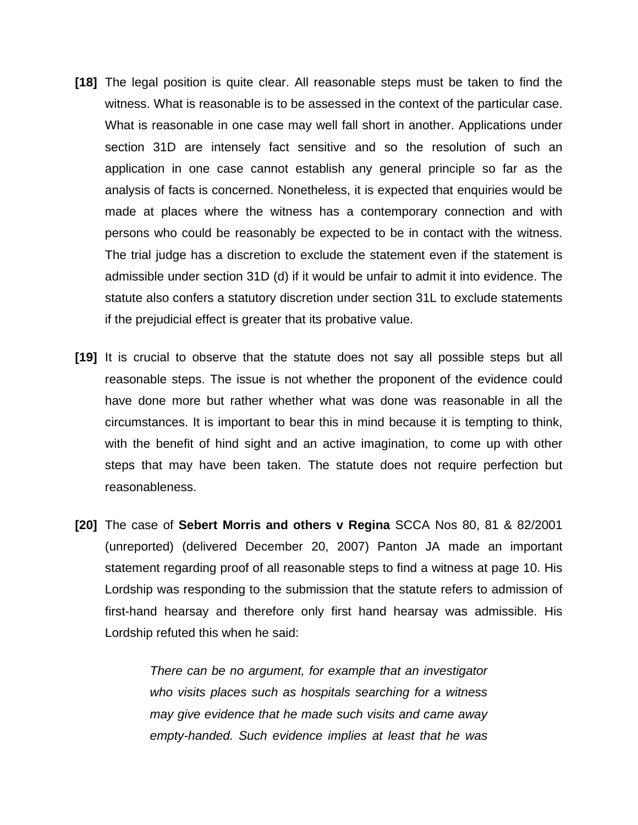- **[18]** The legal position is quite clear. All reasonable steps must be taken to find the witness. What is reasonable is to be assessed in the context of the particular case. What is reasonable in one case may well fall short in another. Applications under section 31D are intensely fact sensitive and so the resolution of such an application in one case cannot establish any general principle so far as the analysis of facts is concerned. Nonetheless, it is expected that enquiries would be made at places where the witness has a contemporary connection and with persons who could be reasonably be expected to be in contact with the witness. The trial judge has a discretion to exclude the statement even if the statement is admissible under section 31D (d) if it would be unfair to admit it into evidence. The statute also confers a statutory discretion under section 31L to exclude statements if the prejudicial effect is greater that its probative value.
- **[19]** It is crucial to observe that the statute does not say all possible steps but all reasonable steps. The issue is not whether the proponent of the evidence could have done more but rather whether what was done was reasonable in all the circumstances. It is important to bear this in mind because it is tempting to think, with the benefit of hind sight and an active imagination, to come up with other steps that may have been taken. The statute does not require perfection but reasonableness.
- **[20]** The case of **Sebert Morris and others v Regina** SCCA Nos 80, 81 & 82/2001 (unreported) (delivered December 20, 2007) Panton JA made an important statement regarding proof of all reasonable steps to find a witness at page 10. His Lordship was responding to the submission that the statute refers to admission of first-hand hearsay and therefore only first hand hearsay was admissible. His Lordship refuted this when he said:

*There can be no argument, for example that an investigator who visits places such as hospitals searching for a witness may give evidence that he made such visits and came away empty-handed. Such evidence implies at least that he was*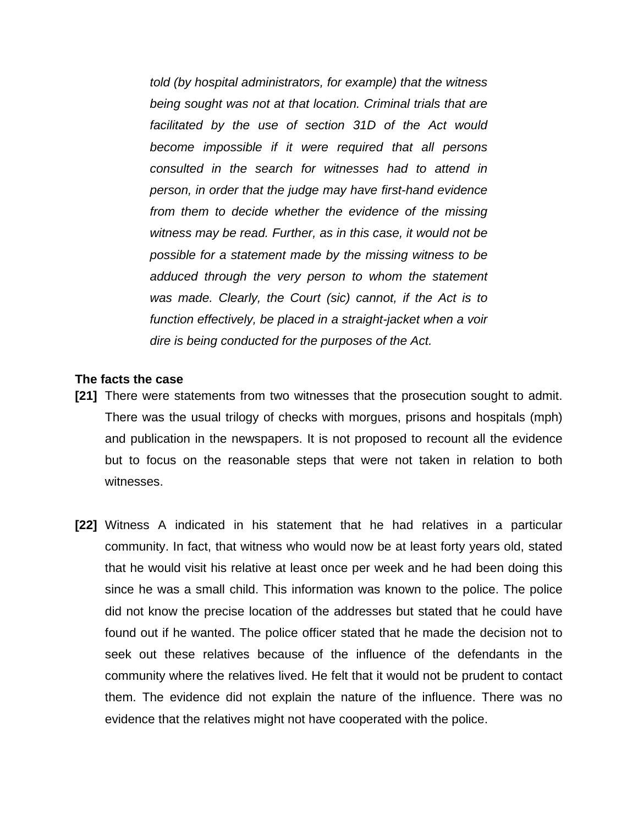*told (by hospital administrators, for example) that the witness being sought was not at that location. Criminal trials that are facilitated by the use of section 31D of the Act would become impossible if it were required that all persons consulted in the search for witnesses had to attend in person, in order that the judge may have first-hand evidence from them to decide whether the evidence of the missing witness may be read. Further, as in this case, it would not be possible for a statement made by the missing witness to be adduced through the very person to whom the statement was made. Clearly, the Court (sic) cannot, if the Act is to function effectively, be placed in a straight-jacket when a voir dire is being conducted for the purposes of the Act.*

### **The facts the case**

- **[21]** There were statements from two witnesses that the prosecution sought to admit. There was the usual trilogy of checks with morgues, prisons and hospitals (mph) and publication in the newspapers. It is not proposed to recount all the evidence but to focus on the reasonable steps that were not taken in relation to both witnesses.
- **[22]** Witness A indicated in his statement that he had relatives in a particular community. In fact, that witness who would now be at least forty years old, stated that he would visit his relative at least once per week and he had been doing this since he was a small child. This information was known to the police. The police did not know the precise location of the addresses but stated that he could have found out if he wanted. The police officer stated that he made the decision not to seek out these relatives because of the influence of the defendants in the community where the relatives lived. He felt that it would not be prudent to contact them. The evidence did not explain the nature of the influence. There was no evidence that the relatives might not have cooperated with the police.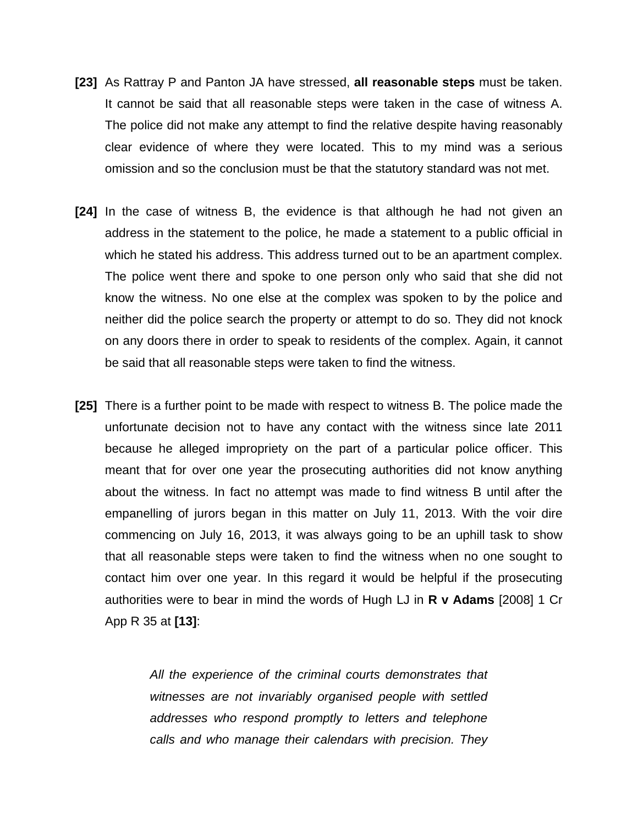- **[23]** As Rattray P and Panton JA have stressed, **all reasonable steps** must be taken. It cannot be said that all reasonable steps were taken in the case of witness A. The police did not make any attempt to find the relative despite having reasonably clear evidence of where they were located. This to my mind was a serious omission and so the conclusion must be that the statutory standard was not met.
- **[24]** In the case of witness B, the evidence is that although he had not given an address in the statement to the police, he made a statement to a public official in which he stated his address. This address turned out to be an apartment complex. The police went there and spoke to one person only who said that she did not know the witness. No one else at the complex was spoken to by the police and neither did the police search the property or attempt to do so. They did not knock on any doors there in order to speak to residents of the complex. Again, it cannot be said that all reasonable steps were taken to find the witness.
- **[25]** There is a further point to be made with respect to witness B. The police made the unfortunate decision not to have any contact with the witness since late 2011 because he alleged impropriety on the part of a particular police officer. This meant that for over one year the prosecuting authorities did not know anything about the witness. In fact no attempt was made to find witness B until after the empanelling of jurors began in this matter on July 11, 2013. With the voir dire commencing on July 16, 2013, it was always going to be an uphill task to show that all reasonable steps were taken to find the witness when no one sought to contact him over one year. In this regard it would be helpful if the prosecuting authorities were to bear in mind the words of Hugh LJ in **R v Adams** [2008] 1 Cr App R 35 at **[13]**:

*All the experience of the criminal courts demonstrates that witnesses are not invariably organised people with settled addresses who respond promptly to letters and telephone calls and who manage their calendars with precision. They*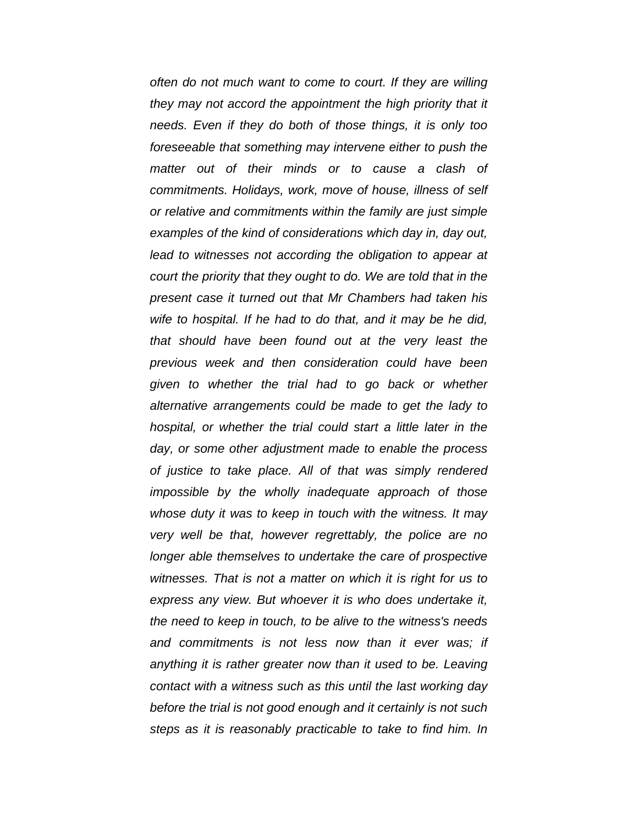*often do not much want to come to court. If they are willing they may not accord the appointment the high priority that it needs. Even if they do both of those things, it is only too foreseeable that something may intervene either to push the matter out of their minds or to cause a clash of commitments. Holidays, work, move of house, illness of self or relative and commitments within the family are just simple examples of the kind of considerations which day in, day out, lead to witnesses not according the obligation to appear at court the priority that they ought to do. We are told that in the present case it turned out that Mr Chambers had taken his wife to hospital. If he had to do that, and it may be he did, that should have been found out at the very least the previous week and then consideration could have been given to whether the trial had to go back or whether alternative arrangements could be made to get the lady to hospital, or whether the trial could start a little later in the day, or some other adjustment made to enable the process of justice to take place. All of that was simply rendered impossible by the wholly inadequate approach of those whose duty it was to keep in touch with the witness. It may very well be that, however regrettably, the police are no longer able themselves to undertake the care of prospective witnesses. That is not a matter on which it is right for us to express any view. But whoever it is who does undertake it, the need to keep in touch, to be alive to the witness's needs and commitments is not less now than it ever was; if anything it is rather greater now than it used to be. Leaving contact with a witness such as this until the last working day before the trial is not good enough and it certainly is not such steps as it is reasonably practicable to take to find him. In*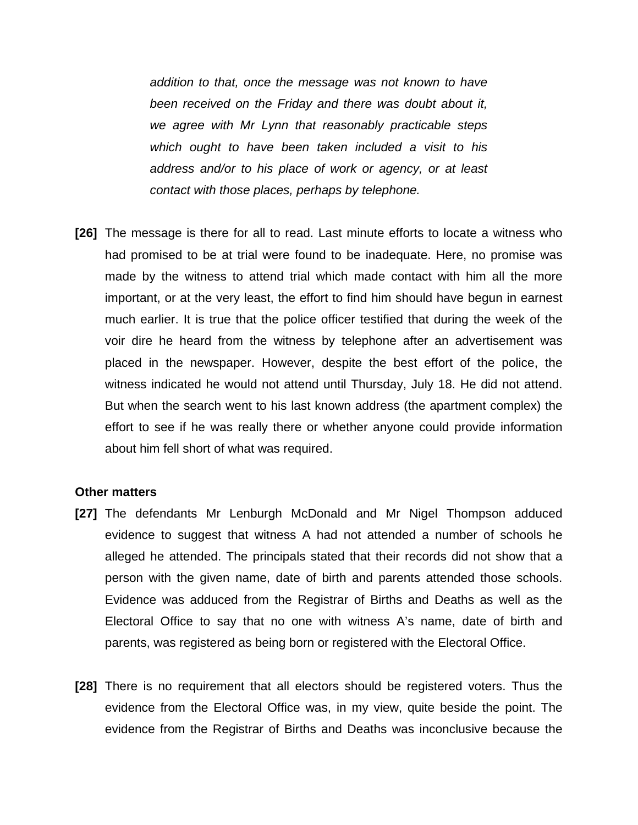*addition to that, once the message was not known to have been received on the Friday and there was doubt about it, we agree with Mr Lynn that reasonably practicable steps which ought to have been taken included a visit to his address and/or to his place of work or agency, or at least contact with those places, perhaps by telephone.* 

**[26]** The message is there for all to read. Last minute efforts to locate a witness who had promised to be at trial were found to be inadequate. Here, no promise was made by the witness to attend trial which made contact with him all the more important, or at the very least, the effort to find him should have begun in earnest much earlier. It is true that the police officer testified that during the week of the voir dire he heard from the witness by telephone after an advertisement was placed in the newspaper. However, despite the best effort of the police, the witness indicated he would not attend until Thursday, July 18. He did not attend. But when the search went to his last known address (the apartment complex) the effort to see if he was really there or whether anyone could provide information about him fell short of what was required.

### **Other matters**

- **[27]** The defendants Mr Lenburgh McDonald and Mr Nigel Thompson adduced evidence to suggest that witness A had not attended a number of schools he alleged he attended. The principals stated that their records did not show that a person with the given name, date of birth and parents attended those schools. Evidence was adduced from the Registrar of Births and Deaths as well as the Electoral Office to say that no one with witness A's name, date of birth and parents, was registered as being born or registered with the Electoral Office.
- **[28]** There is no requirement that all electors should be registered voters. Thus the evidence from the Electoral Office was, in my view, quite beside the point. The evidence from the Registrar of Births and Deaths was inconclusive because the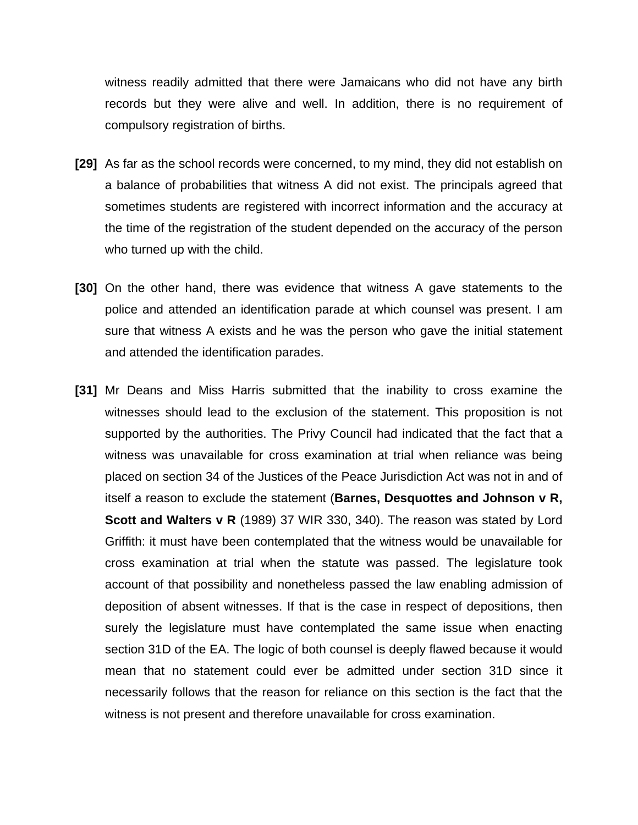witness readily admitted that there were Jamaicans who did not have any birth records but they were alive and well. In addition, there is no requirement of compulsory registration of births.

- **[29]** As far as the school records were concerned, to my mind, they did not establish on a balance of probabilities that witness A did not exist. The principals agreed that sometimes students are registered with incorrect information and the accuracy at the time of the registration of the student depended on the accuracy of the person who turned up with the child.
- **[30]** On the other hand, there was evidence that witness A gave statements to the police and attended an identification parade at which counsel was present. I am sure that witness A exists and he was the person who gave the initial statement and attended the identification parades.
- **[31]** Mr Deans and Miss Harris submitted that the inability to cross examine the witnesses should lead to the exclusion of the statement. This proposition is not supported by the authorities. The Privy Council had indicated that the fact that a witness was unavailable for cross examination at trial when reliance was being placed on section 34 of the Justices of the Peace Jurisdiction Act was not in and of itself a reason to exclude the statement (**Barnes, Desquottes and Johnson v R, Scott and Walters v R** (1989) 37 WIR 330, 340). The reason was stated by Lord Griffith: it must have been contemplated that the witness would be unavailable for cross examination at trial when the statute was passed. The legislature took account of that possibility and nonetheless passed the law enabling admission of deposition of absent witnesses. If that is the case in respect of depositions, then surely the legislature must have contemplated the same issue when enacting section 31D of the EA. The logic of both counsel is deeply flawed because it would mean that no statement could ever be admitted under section 31D since it necessarily follows that the reason for reliance on this section is the fact that the witness is not present and therefore unavailable for cross examination.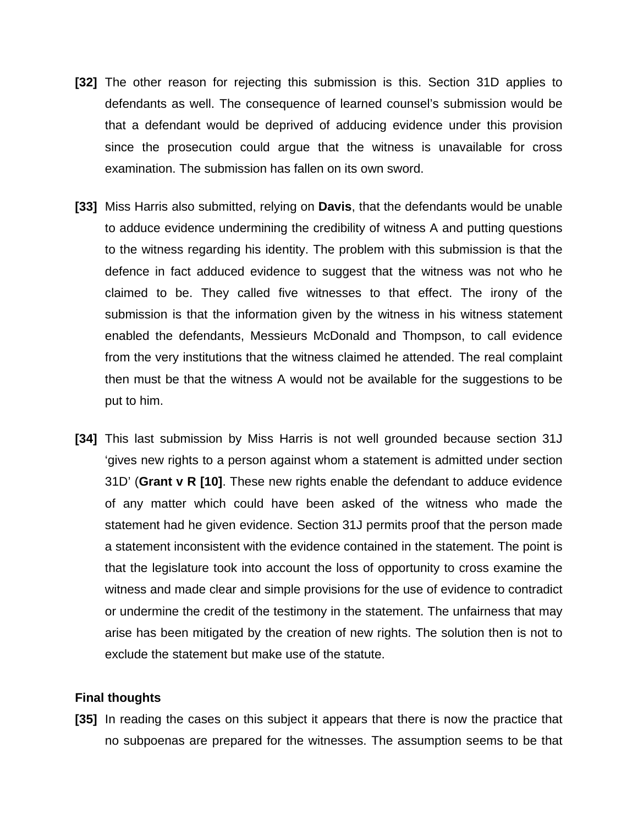- **[32]** The other reason for rejecting this submission is this. Section 31D applies to defendants as well. The consequence of learned counsel's submission would be that a defendant would be deprived of adducing evidence under this provision since the prosecution could argue that the witness is unavailable for cross examination. The submission has fallen on its own sword.
- **[33]** Miss Harris also submitted, relying on **Davis**, that the defendants would be unable to adduce evidence undermining the credibility of witness A and putting questions to the witness regarding his identity. The problem with this submission is that the defence in fact adduced evidence to suggest that the witness was not who he claimed to be. They called five witnesses to that effect. The irony of the submission is that the information given by the witness in his witness statement enabled the defendants, Messieurs McDonald and Thompson, to call evidence from the very institutions that the witness claimed he attended. The real complaint then must be that the witness A would not be available for the suggestions to be put to him.
- **[34]** This last submission by Miss Harris is not well grounded because section 31J 'gives new rights to a person against whom a statement is admitted under section 31D' (**Grant v R [10]**. These new rights enable the defendant to adduce evidence of any matter which could have been asked of the witness who made the statement had he given evidence. Section 31J permits proof that the person made a statement inconsistent with the evidence contained in the statement. The point is that the legislature took into account the loss of opportunity to cross examine the witness and made clear and simple provisions for the use of evidence to contradict or undermine the credit of the testimony in the statement. The unfairness that may arise has been mitigated by the creation of new rights. The solution then is not to exclude the statement but make use of the statute.

### **Final thoughts**

**[35]** In reading the cases on this subject it appears that there is now the practice that no subpoenas are prepared for the witnesses. The assumption seems to be that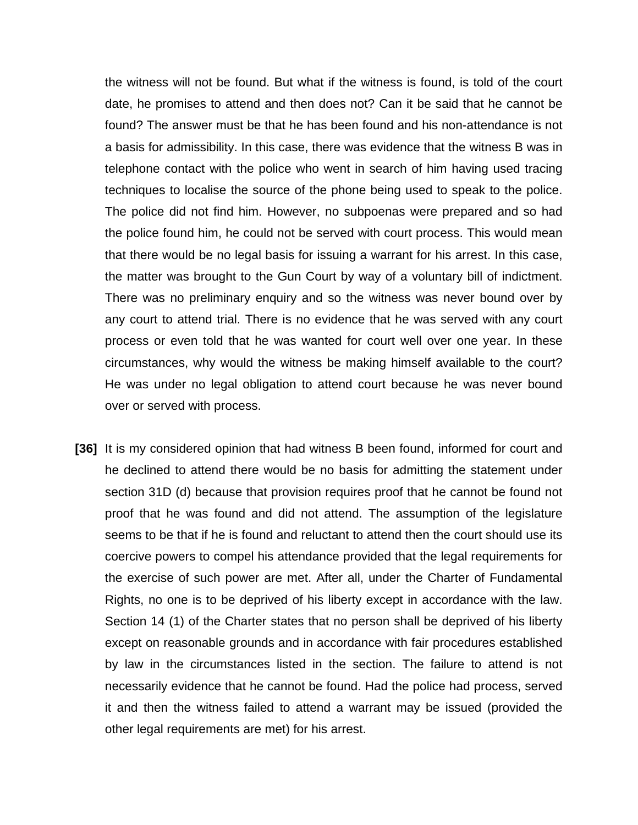the witness will not be found. But what if the witness is found, is told of the court date, he promises to attend and then does not? Can it be said that he cannot be found? The answer must be that he has been found and his non-attendance is not a basis for admissibility. In this case, there was evidence that the witness B was in telephone contact with the police who went in search of him having used tracing techniques to localise the source of the phone being used to speak to the police. The police did not find him. However, no subpoenas were prepared and so had the police found him, he could not be served with court process. This would mean that there would be no legal basis for issuing a warrant for his arrest. In this case, the matter was brought to the Gun Court by way of a voluntary bill of indictment. There was no preliminary enquiry and so the witness was never bound over by any court to attend trial. There is no evidence that he was served with any court process or even told that he was wanted for court well over one year. In these circumstances, why would the witness be making himself available to the court? He was under no legal obligation to attend court because he was never bound over or served with process.

**[36]** It is my considered opinion that had witness B been found, informed for court and he declined to attend there would be no basis for admitting the statement under section 31D (d) because that provision requires proof that he cannot be found not proof that he was found and did not attend. The assumption of the legislature seems to be that if he is found and reluctant to attend then the court should use its coercive powers to compel his attendance provided that the legal requirements for the exercise of such power are met. After all, under the Charter of Fundamental Rights, no one is to be deprived of his liberty except in accordance with the law. Section 14 (1) of the Charter states that no person shall be deprived of his liberty except on reasonable grounds and in accordance with fair procedures established by law in the circumstances listed in the section. The failure to attend is not necessarily evidence that he cannot be found. Had the police had process, served it and then the witness failed to attend a warrant may be issued (provided the other legal requirements are met) for his arrest.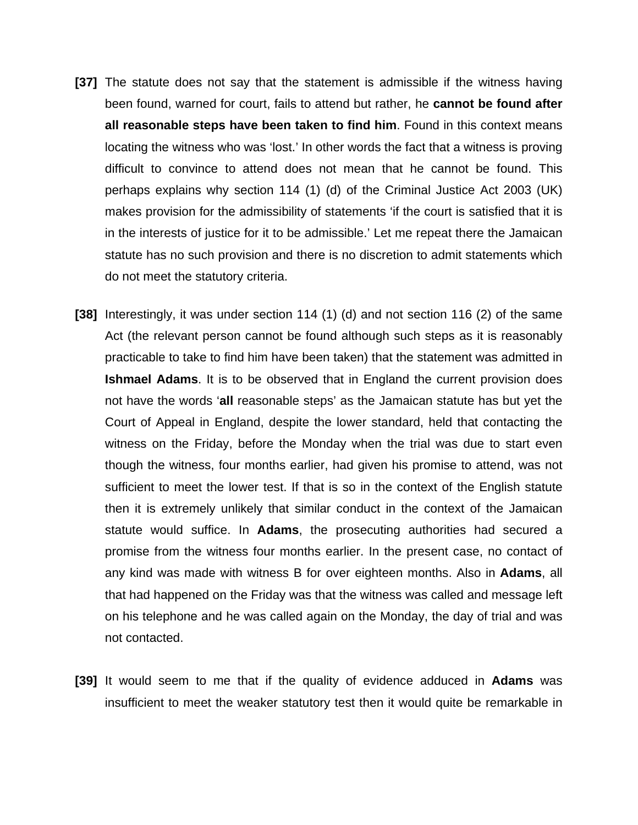- **[37]** The statute does not say that the statement is admissible if the witness having been found, warned for court, fails to attend but rather, he **cannot be found after all reasonable steps have been taken to find him**. Found in this context means locating the witness who was 'lost.' In other words the fact that a witness is proving difficult to convince to attend does not mean that he cannot be found. This perhaps explains why section 114 (1) (d) of the Criminal Justice Act 2003 (UK) makes provision for the admissibility of statements 'if the court is satisfied that it is in the interests of justice for it to be admissible.' Let me repeat there the Jamaican statute has no such provision and there is no discretion to admit statements which do not meet the statutory criteria.
- **[38]** Interestingly, it was under section 114 (1) (d) and not section 116 (2) of the same Act (the relevant person cannot be found although such steps as it is reasonably practicable to take to find him have been taken) that the statement was admitted in **Ishmael Adams**. It is to be observed that in England the current provision does not have the words '**all** reasonable steps' as the Jamaican statute has but yet the Court of Appeal in England, despite the lower standard, held that contacting the witness on the Friday, before the Monday when the trial was due to start even though the witness, four months earlier, had given his promise to attend, was not sufficient to meet the lower test. If that is so in the context of the English statute then it is extremely unlikely that similar conduct in the context of the Jamaican statute would suffice. In **Adams**, the prosecuting authorities had secured a promise from the witness four months earlier. In the present case, no contact of any kind was made with witness B for over eighteen months. Also in **Adams**, all that had happened on the Friday was that the witness was called and message left on his telephone and he was called again on the Monday, the day of trial and was not contacted.
- **[39]** It would seem to me that if the quality of evidence adduced in **Adams** was insufficient to meet the weaker statutory test then it would quite be remarkable in